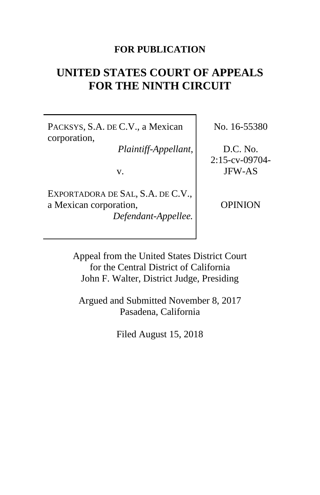## **FOR PUBLICATION**

# **UNITED STATES COURT OF APPEALS FOR THE NINTH CIRCUIT**

PACKSYS, S.A. DE C.V., a Mexican corporation,

*Plaintiff-Appellant*,

v.

EXPORTADORA DE SAL, S.A. DE C.V., a Mexican corporation, *Defendant-Appellee.* No. 16-55380

D.C. No. 2:15-cv-09704- JFW-AS

OPINION

Appeal from the United States District Court for the Central District of California John F. Walter, District Judge, Presiding

Argued and Submitted November 8, 2017 Pasadena, California

Filed August 15, 2018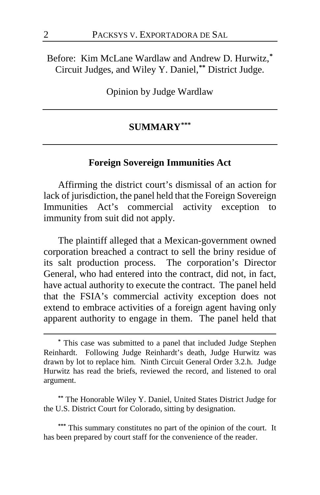Before: Kim McLane Wardlaw and Andrew D. Hurwitz,**[\\*](#page-1-0)** Circuit Judges, and Wiley Y. Daniel,**[\\*\\*](#page-1-1)** District Judge.

Opinion by Judge Wardlaw

## **SUMMARY[\\*\\*\\*](#page-1-2)**

### **Foreign Sovereign Immunities Act**

Affirming the district court's dismissal of an action for lack of jurisdiction, the panel held that the Foreign Sovereign Immunities Act's commercial activity exception to immunity from suit did not apply.

The plaintiff alleged that a Mexican-government owned corporation breached a contract to sell the briny residue of its salt production process. The corporation's Director General, who had entered into the contract, did not, in fact, have actual authority to execute the contract. The panel held that the FSIA's commercial activity exception does not extend to embrace activities of a foreign agent having only apparent authority to engage in them. The panel held that

<span id="page-1-1"></span>**\*\*** The Honorable Wiley Y. Daniel, United States District Judge for the U.S. District Court for Colorado, sitting by designation.

<span id="page-1-2"></span>**\*\*\*** This summary constitutes no part of the opinion of the court. It has been prepared by court staff for the convenience of the reader.

<span id="page-1-0"></span>**<sup>\*</sup>** This case was submitted to a panel that included Judge Stephen Reinhardt. Following Judge Reinhardt's death, Judge Hurwitz was drawn by lot to replace him. Ninth Circuit General Order 3.2.h. Judge Hurwitz has read the briefs, reviewed the record, and listened to oral argument.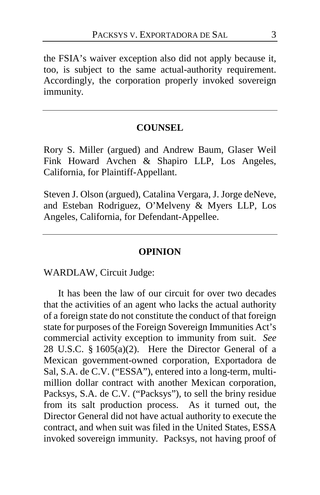the FSIA's waiver exception also did not apply because it, too, is subject to the same actual-authority requirement. Accordingly, the corporation properly invoked sovereign immunity.

## **COUNSEL**

Rory S. Miller (argued) and Andrew Baum, Glaser Weil Fink Howard Avchen & Shapiro LLP, Los Angeles, California, for Plaintiff-Appellant.

Steven J. Olson (argued), Catalina Vergara, J. Jorge deNeve, and Esteban Rodriguez, O'Melveny & Myers LLP, Los Angeles, California, for Defendant-Appellee.

#### **OPINION**

WARDLAW, Circuit Judge:

It has been the law of our circuit for over two decades that the activities of an agent who lacks the actual authority of a foreign state do not constitute the conduct of that foreign state for purposes of the Foreign Sovereign Immunities Act's commercial activity exception to immunity from suit. *See*  28 U.S.C. § 1605(a)(2). Here the Director General of a Mexican government-owned corporation, Exportadora de Sal, S.A. de C.V. ("ESSA"), entered into a long-term, multimillion dollar contract with another Mexican corporation, Packsys, S.A. de C.V. ("Packsys"), to sell the briny residue from its salt production process. As it turned out, the Director General did not have actual authority to execute the contract, and when suit was filed in the United States, ESSA invoked sovereign immunity. Packsys, not having proof of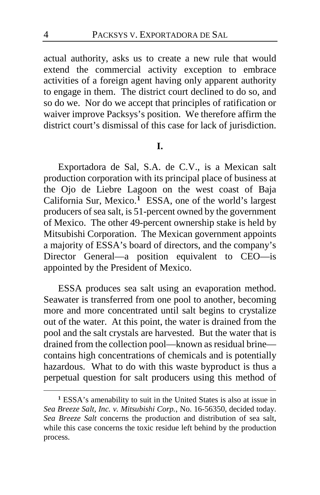actual authority, asks us to create a new rule that would extend the commercial activity exception to embrace activities of a foreign agent having only apparent authority to engage in them. The district court declined to do so, and so do we. Nor do we accept that principles of ratification or waiver improve Packsys's position. We therefore affirm the district court's dismissal of this case for lack of jurisdiction.

## **I.**

Exportadora de Sal, S.A. de C.V., is a Mexican salt production corporation with its principal place of business at the Ojo de Liebre Lagoon on the west coast of Baja California Sur, Mexico.**[1](#page-3-0)** ESSA, one of the world's largest producers of sea salt, is 51-percent owned by the government of Mexico. The other 49-percent ownership stake is held by Mitsubishi Corporation. The Mexican government appoints a majority of ESSA's board of directors, and the company's Director General—a position equivalent to CEO—is appointed by the President of Mexico.

ESSA produces sea salt using an evaporation method. Seawater is transferred from one pool to another, becoming more and more concentrated until salt begins to crystalize out of the water. At this point, the water is drained from the pool and the salt crystals are harvested. But the water that is drained from the collection pool—known as residual brine contains high concentrations of chemicals and is potentially hazardous. What to do with this waste byproduct is thus a perpetual question for salt producers using this method of

<span id="page-3-0"></span>**<sup>1</sup>** ESSA's amenability to suit in the United States is also at issue in *Sea Breeze Salt, Inc. v. Mitsubishi Corp.*, No. 16-56350, decided today. *Sea Breeze Salt* concerns the production and distribution of sea salt, while this case concerns the toxic residue left behind by the production process.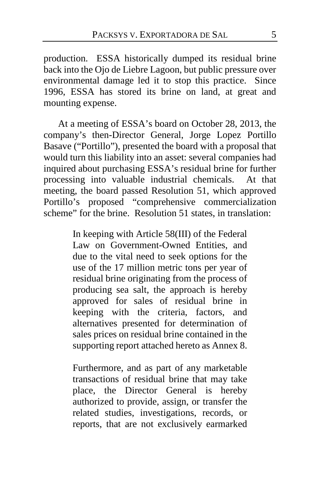production. ESSA historically dumped its residual brine back into the Ojo de Liebre Lagoon, but public pressure over environmental damage led it to stop this practice. Since 1996, ESSA has stored its brine on land, at great and mounting expense.

At a meeting of ESSA's board on October 28, 2013, the company's then-Director General, Jorge Lopez Portillo Basave ("Portillo"), presented the board with a proposal that would turn this liability into an asset: several companies had inquired about purchasing ESSA's residual brine for further processing into valuable industrial chemicals. At that meeting, the board passed Resolution 51, which approved Portillo's proposed "comprehensive commercialization scheme" for the brine. Resolution 51 states, in translation:

> In keeping with Article 58(III) of the Federal Law on Government-Owned Entities, and due to the vital need to seek options for the use of the 17 million metric tons per year of residual brine originating from the process of producing sea salt, the approach is hereby approved for sales of residual brine in keeping with the criteria, factors, and alternatives presented for determination of sales prices on residual brine contained in the supporting report attached hereto as Annex 8.

> Furthermore, and as part of any marketable transactions of residual brine that may take place, the Director General is hereby authorized to provide, assign, or transfer the related studies, investigations, records, or reports, that are not exclusively earmarked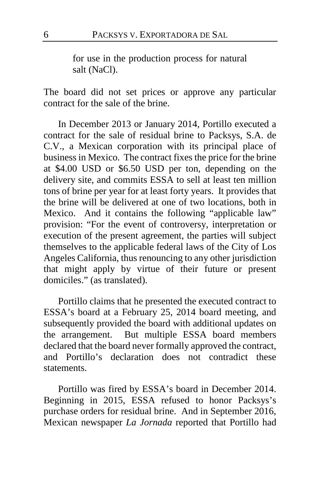for use in the production process for natural salt (NaCl).

The board did not set prices or approve any particular contract for the sale of the brine.

In December 2013 or January 2014, Portillo executed a contract for the sale of residual brine to Packsys, S.A. de C.V., a Mexican corporation with its principal place of business in Mexico. The contract fixes the price for the brine at \$4.00 USD or \$6.50 USD per ton, depending on the delivery site, and commits ESSA to sell at least ten million tons of brine per year for at least forty years. It provides that the brine will be delivered at one of two locations, both in Mexico. And it contains the following "applicable law" provision: "For the event of controversy, interpretation or execution of the present agreement, the parties will subject themselves to the applicable federal laws of the City of Los Angeles California, thus renouncing to any other jurisdiction that might apply by virtue of their future or present domiciles." (as translated).

Portillo claims that he presented the executed contract to ESSA's board at a February 25, 2014 board meeting, and subsequently provided the board with additional updates on the arrangement. But multiple ESSA board members declared that the board never formally approved the contract, and Portillo's declaration does not contradict these statements.

Portillo was fired by ESSA's board in December 2014. Beginning in 2015, ESSA refused to honor Packsys's purchase orders for residual brine. And in September 2016, Mexican newspaper *La Jornada* reported that Portillo had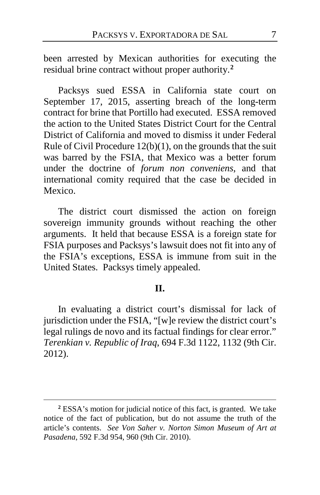been arrested by Mexican authorities for executing the residual brine contract without proper authority.**[2](#page-6-0)**

Packsys sued ESSA in California state court on September 17, 2015, asserting breach of the long-term contract for brine that Portillo had executed. ESSA removed the action to the United States District Court for the Central District of California and moved to dismiss it under Federal Rule of Civil Procedure 12(b)(1), on the grounds that the suit was barred by the FSIA, that Mexico was a better forum under the doctrine of *forum non conveniens*, and that international comity required that the case be decided in Mexico.

The district court dismissed the action on foreign sovereign immunity grounds without reaching the other arguments. It held that because ESSA is a foreign state for FSIA purposes and Packsys's lawsuit does not fit into any of the FSIA's exceptions, ESSA is immune from suit in the United States. Packsys timely appealed.

## **II.**

In evaluating a district court's dismissal for lack of jurisdiction under the FSIA, "[w]e review the district court's legal rulings de novo and its factual findings for clear error." *Terenkian v. Republic of Iraq*, 694 F.3d 1122, 1132 (9th Cir. 2012).

<span id="page-6-0"></span>**<sup>2</sup>** ESSA's motion for judicial notice of this fact, is granted. We take notice of the fact of publication, but do not assume the truth of the article's contents. *See Von Saher v. Norton Simon Museum of Art at Pasadena*, 592 F.3d 954, 960 (9th Cir. 2010).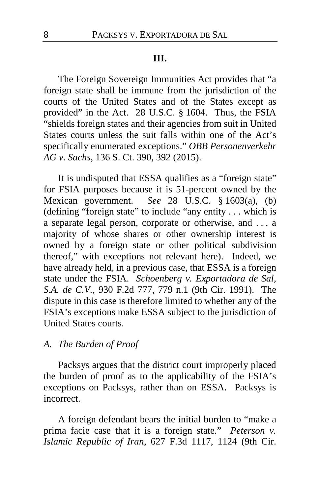#### **III.**

The Foreign Sovereign Immunities Act provides that "a foreign state shall be immune from the jurisdiction of the courts of the United States and of the States except as provided" in the Act. 28 U.S.C. § 1604. Thus, the FSIA "shields foreign states and their agencies from suit in United States courts unless the suit falls within one of the Act's specifically enumerated exceptions." *OBB Personenverkehr AG v. Sachs*, 136 S. Ct. 390, 392 (2015).

It is undisputed that ESSA qualifies as a "foreign state" for FSIA purposes because it is 51-percent owned by the Mexican government. *See* 28 U.S.C. § 1603(a), (b) (defining "foreign state" to include "any entity . . . which is a separate legal person, corporate or otherwise, and . . . a majority of whose shares or other ownership interest is owned by a foreign state or other political subdivision thereof," with exceptions not relevant here). Indeed, we have already held, in a previous case, that ESSA is a foreign state under the FSIA. *Schoenberg v. Exportadora de Sal, S.A. de C.V.*, 930 F.2d 777, 779 n.1 (9th Cir. 1991). The dispute in this case is therefore limited to whether any of the FSIA's exceptions make ESSA subject to the jurisdiction of United States courts.

#### *A. The Burden of Proof*

Packsys argues that the district court improperly placed the burden of proof as to the applicability of the FSIA's exceptions on Packsys, rather than on ESSA. Packsys is incorrect.

A foreign defendant bears the initial burden to "make a prima facie case that it is a foreign state." *Peterson v. Islamic Republic of Iran*, 627 F.3d 1117, 1124 (9th Cir.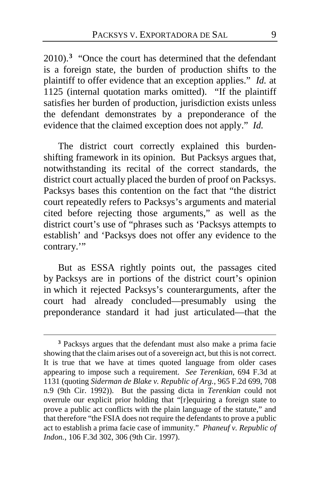2010).**[3](#page-8-0)** "Once the court has determined that the defendant is a foreign state, the burden of production shifts to the plaintiff to offer evidence that an exception applies." *Id.* at 1125 (internal quotation marks omitted). "If the plaintiff satisfies her burden of production, jurisdiction exists unless the defendant demonstrates by a preponderance of the evidence that the claimed exception does not apply." *Id.*

The district court correctly explained this burdenshifting framework in its opinion. But Packsys argues that, notwithstanding its recital of the correct standards, the district court actually placed the burden of proof on Packsys. Packsys bases this contention on the fact that "the district court repeatedly refers to Packsys's arguments and material cited before rejecting those arguments," as well as the district court's use of "phrases such as 'Packsys attempts to establish' and 'Packsys does not offer any evidence to the contrary."

But as ESSA rightly points out, the passages cited by Packsys are in portions of the district court's opinion in which it rejected Packsys's counterarguments, after the court had already concluded—presumably using the preponderance standard it had just articulated—that the

<span id="page-8-0"></span>**<sup>3</sup>** Packsys argues that the defendant must also make a prima facie showing that the claim arises out of a sovereign act, but this is not correct. It is true that we have at times quoted language from older cases appearing to impose such a requirement. *See Terenkian*, 694 F.3d at 1131 (quoting *Siderman de Blake v. Republic of Arg.*, 965 F.2d 699, 708 n.9 (9th Cir. 1992)). But the passing dicta in *Terenkian* could not overrule our explicit prior holding that "[r]equiring a foreign state to prove a public act conflicts with the plain language of the statute," and that therefore "the FSIA does not require the defendants to prove a public act to establish a prima facie case of immunity." *Phaneuf v. Republic of Indon.*, 106 F.3d 302, 306 (9th Cir. 1997).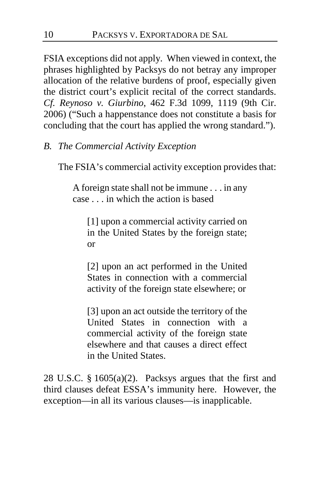FSIA exceptions did not apply. When viewed in context, the phrases highlighted by Packsys do not betray any improper allocation of the relative burdens of proof, especially given the district court's explicit recital of the correct standards. *Cf. Reynoso v. Giurbino*, 462 F.3d 1099, 1119 (9th Cir. 2006) ("Such a happenstance does not constitute a basis for concluding that the court has applied the wrong standard.").

## *B. The Commercial Activity Exception*

The FSIA's commercial activity exception provides that:

A foreign state shall not be immune . . . in any case . . . in which the action is based

[1] upon a commercial activity carried on in the United States by the foreign state; or

[2] upon an act performed in the United States in connection with a commercial activity of the foreign state elsewhere; or

[3] upon an act outside the territory of the United States in connection with a commercial activity of the foreign state elsewhere and that causes a direct effect in the United States.

28 U.S.C. § 1605(a)(2). Packsys argues that the first and third clauses defeat ESSA's immunity here. However, the exception—in all its various clauses—is inapplicable.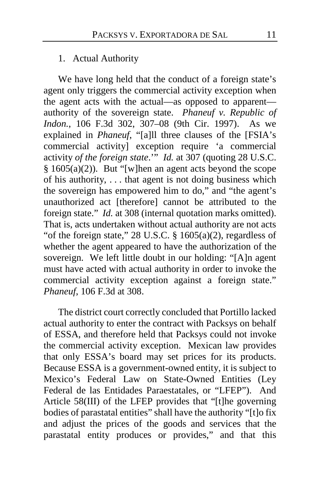## 1. Actual Authority

We have long held that the conduct of a foreign state's agent only triggers the commercial activity exception when the agent acts with the actual—as opposed to apparent authority of the sovereign state. *Phaneuf v. Republic of Indon.*, 106 F.3d 302, 307–08 (9th Cir. 1997). As we explained in *Phaneuf*, "[a]ll three clauses of the [FSIA's commercial activity] exception require 'a commercial activity *of the foreign state*.'" *Id.* at 307 (quoting 28 U.S.C.  $§ 1605(a)(2)$ . But "[w]hen an agent acts beyond the scope of his authority, . . . that agent is not doing business which the sovereign has empowered him to do," and "the agent's unauthorized act [therefore] cannot be attributed to the foreign state." *Id.* at 308 (internal quotation marks omitted). That is, acts undertaken without actual authority are not acts "of the foreign state," 28 U.S.C.  $\S$  1605(a)(2), regardless of whether the agent appeared to have the authorization of the sovereign. We left little doubt in our holding: "[A]n agent must have acted with actual authority in order to invoke the commercial activity exception against a foreign state." *Phaneuf*, 106 F.3d at 308.

The district court correctly concluded that Portillo lacked actual authority to enter the contract with Packsys on behalf of ESSA, and therefore held that Packsys could not invoke the commercial activity exception. Mexican law provides that only ESSA's board may set prices for its products. Because ESSA is a government-owned entity, it is subject to Mexico's Federal Law on State-Owned Entities (Ley Federal de las Entidades Paraestatales, or "LFEP"). And Article 58(III) of the LFEP provides that "[t]he governing bodies of parastatal entities" shall have the authority "[t]o fix and adjust the prices of the goods and services that the parastatal entity produces or provides," and that this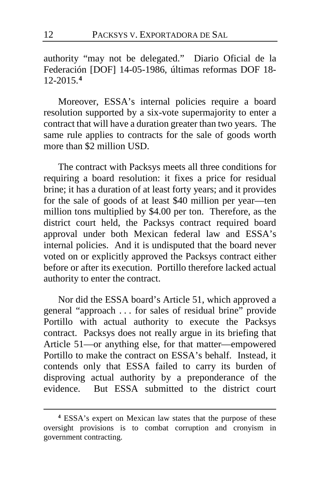authority "may not be delegated." Diario Oficial de la Federación [DOF] 14-05-1986, últimas reformas DOF 18- 12-2015.**[4](#page-11-0)**

Moreover, ESSA's internal policies require a board resolution supported by a six-vote supermajority to enter a contract that will have a duration greater than two years. The same rule applies to contracts for the sale of goods worth more than \$2 million USD.

The contract with Packsys meets all three conditions for requiring a board resolution: it fixes a price for residual brine; it has a duration of at least forty years; and it provides for the sale of goods of at least \$40 million per year—ten million tons multiplied by \$4.00 per ton. Therefore, as the district court held, the Packsys contract required board approval under both Mexican federal law and ESSA's internal policies. And it is undisputed that the board never voted on or explicitly approved the Packsys contract either before or after its execution. Portillo therefore lacked actual authority to enter the contract.

Nor did the ESSA board's Article 51, which approved a general "approach . . . for sales of residual brine" provide Portillo with actual authority to execute the Packsys contract. Packsys does not really argue in its briefing that Article 51—or anything else, for that matter—empowered Portillo to make the contract on ESSA's behalf. Instead, it contends only that ESSA failed to carry its burden of disproving actual authority by a preponderance of the evidence. But ESSA submitted to the district court

<span id="page-11-0"></span>**<sup>4</sup>** ESSA's expert on Mexican law states that the purpose of these oversight provisions is to combat corruption and cronyism in government contracting.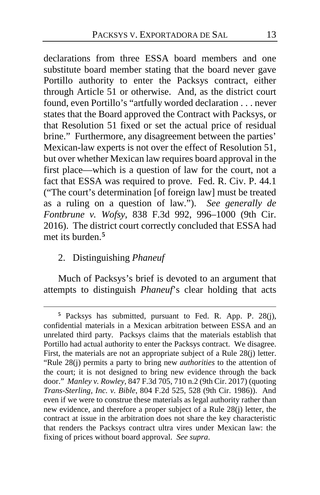declarations from three ESSA board members and one substitute board member stating that the board never gave Portillo authority to enter the Packsys contract, either through Article 51 or otherwise. And, as the district court found, even Portillo's "artfully worded declaration . . . never states that the Board approved the Contract with Packsys, or that Resolution 51 fixed or set the actual price of residual brine." Furthermore, any disagreement between the parties' Mexican-law experts is not over the effect of Resolution 51, but over whether Mexican law requires board approval in the first place—which is a question of law for the court, not a fact that ESSA was required to prove. Fed. R. Civ. P. 44.1 ("The court's determination [of foreign law] must be treated as a ruling on a question of law."). *See generally de Fontbrune v. Wofsy*, 838 F.3d 992, 996–1000 (9th Cir. 2016). The district court correctly concluded that ESSA had met its burden.**[5](#page-12-0)**

## 2. Distinguishing *Phaneuf*

 $\overline{a}$ 

Much of Packsys's brief is devoted to an argument that attempts to distinguish *Phaneuf*'s clear holding that acts

<span id="page-12-0"></span>**<sup>5</sup>** Packsys has submitted, pursuant to Fed. R. App. P. 28(j), confidential materials in a Mexican arbitration between ESSA and an unrelated third party. Packsys claims that the materials establish that Portillo had actual authority to enter the Packsys contract. We disagree. First, the materials are not an appropriate subject of a Rule 28(j) letter. "Rule 28(j) permits a party to bring new *authorities* to the attention of the court; it is not designed to bring new evidence through the back door." *Manley v. Rowley*, 847 F.3d 705, 710 n.2 (9th Cir. 2017) (quoting *Trans-Sterling, Inc. v. Bible*, 804 F.2d 525, 528 (9th Cir. 1986)). And even if we were to construe these materials as legal authority rather than new evidence, and therefore a proper subject of a Rule 28(j) letter, the contract at issue in the arbitration does not share the key characteristic that renders the Packsys contract ultra vires under Mexican law: the fixing of prices without board approval. *See supra*.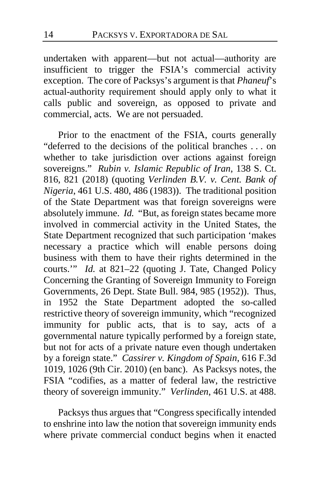undertaken with apparent—but not actual—authority are insufficient to trigger the FSIA's commercial activity exception. The core of Packsys's argument is that *Phaneuf*'s actual-authority requirement should apply only to what it calls public and sovereign, as opposed to private and commercial, acts. We are not persuaded.

Prior to the enactment of the FSIA, courts generally "deferred to the decisions of the political branches . . . on whether to take jurisdiction over actions against foreign sovereigns." *Rubin v. Islamic Republic of Iran*, 138 S. Ct. 816, 821 (2018) (quoting *Verlinden B.V. v. Cent. Bank of Nigeria*, 461 U.S. 480, 486 (1983)). The traditional position of the State Department was that foreign sovereigns were absolutely immune. *Id.* "But, as foreign states became more involved in commercial activity in the United States, the State Department recognized that such participation 'makes necessary a practice which will enable persons doing business with them to have their rights determined in the courts.'" *Id.* at 821–22 (quoting J. Tate, Changed Policy Concerning the Granting of Sovereign Immunity to Foreign Governments, 26 Dept. State Bull. 984, 985 (1952)). Thus, in 1952 the State Department adopted the so-called restrictive theory of sovereign immunity, which "recognized immunity for public acts, that is to say, acts of a governmental nature typically performed by a foreign state, but not for acts of a private nature even though undertaken by a foreign state." *Cassirer v. Kingdom of Spain*, 616 F.3d 1019, 1026 (9th Cir. 2010) (en banc). As Packsys notes, the FSIA "codifies, as a matter of federal law, the restrictive theory of sovereign immunity." *Verlinden*, 461 U.S. at 488.

Packsys thus argues that "Congress specifically intended to enshrine into law the notion that sovereign immunity ends where private commercial conduct begins when it enacted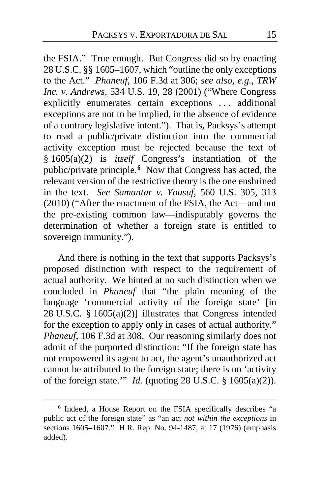the FSIA." True enough. But Congress did so by enacting 28 U.S.C. §§ 1605–1607, which "outline the only exceptions to the Act." *Phaneuf*, 106 F.3d at 306; *see also, e.g.*, *TRW Inc. v. Andrews*, 534 U.S. 19, 28 (2001) ("Where Congress explicitly enumerates certain exceptions . . . additional exceptions are not to be implied, in the absence of evidence of a contrary legislative intent."). That is, Packsys's attempt to read a public/private distinction into the commercial activity exception must be rejected because the text of § 1605(a)(2) is *itself* Congress's instantiation of the public/private principle.**[6](#page-14-0)** Now that Congress has acted, the relevant version of the restrictive theory is the one enshrined in the text. *See Samantar v. Yousuf*, 560 U.S. 305, 313 (2010) ("After the enactment of the FSIA, the Act—and not the pre-existing common law—indisputably governs the determination of whether a foreign state is entitled to sovereign immunity.").

And there is nothing in the text that supports Packsys's proposed distinction with respect to the requirement of actual authority. We hinted at no such distinction when we concluded in *Phaneuf* that "the plain meaning of the language 'commercial activity of the foreign state' [in 28 U.S.C. § 1605(a)(2)] illustrates that Congress intended for the exception to apply only in cases of actual authority." *Phaneuf*, 106 F.3d at 308. Our reasoning similarly does not admit of the purported distinction: "If the foreign state has not empowered its agent to act, the agent's unauthorized act cannot be attributed to the foreign state; there is no 'activity of the foreign state.'" *Id.* (quoting 28 U.S.C. § 1605(a)(2)).

<span id="page-14-0"></span>**<sup>6</sup>** Indeed, a House Report on the FSIA specifically describes "a public act of the foreign state" as "an act *not within the exceptions* in sections 1605–1607." H.R. Rep. No. 94-1487, at 17 (1976) (emphasis added).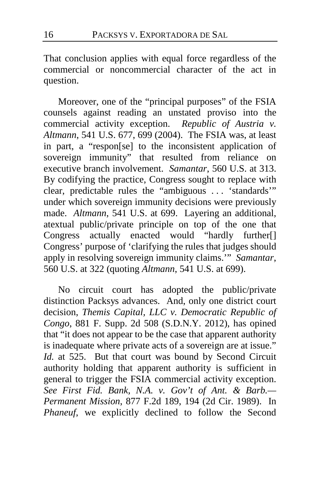That conclusion applies with equal force regardless of the commercial or noncommercial character of the act in question.

Moreover, one of the "principal purposes" of the FSIA counsels against reading an unstated proviso into the commercial activity exception. *Republic of Austria v. Altmann*, 541 U.S. 677, 699 (2004). The FSIA was, at least in part, a "respon[se] to the inconsistent application of sovereign immunity" that resulted from reliance on executive branch involvement. *Samantar*, 560 U.S. at 313. By codifying the practice, Congress sought to replace with clear, predictable rules the "ambiguous . . . 'standards'" under which sovereign immunity decisions were previously made. *Altmann*, 541 U.S. at 699. Layering an additional, atextual public/private principle on top of the one that Congress actually enacted would "hardly further[] Congress' purpose of 'clarifying the rules that judges should apply in resolving sovereign immunity claims.'" *Samantar*, 560 U.S. at 322 (quoting *Altmann*, 541 U.S. at 699).

No circuit court has adopted the public/private distinction Packsys advances. And, only one district court decision, *Themis Capital, LLC v. Democratic Republic of Congo*, 881 F. Supp. 2d 508 (S.D.N.Y. 2012), has opined that "it does not appear to be the case that apparent authority is inadequate where private acts of a sovereign are at issue." *Id.* at 525. But that court was bound by Second Circuit authority holding that apparent authority is sufficient in general to trigger the FSIA commercial activity exception. *See First Fid. Bank, N.A. v. Gov't of Ant. & Barb.— Permanent Mission*, 877 F.2d 189, 194 (2d Cir. 1989). In *Phaneuf*, we explicitly declined to follow the Second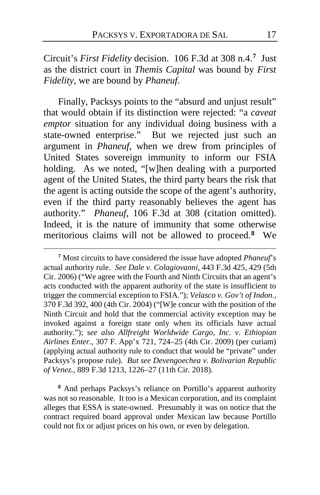Circuit's *First Fidelity* decision. 106 F.3d at 308 n.4.**[7](#page-16-0)** Just as the district court in *Themis Capital* was bound by *First Fidelity*, we are bound by *Phaneuf*.

Finally, Packsys points to the "absurd and unjust result" that would obtain if its distinction were rejected: "a *caveat emptor* situation for any individual doing business with a state-owned enterprise." But we rejected just such an argument in *Phaneuf*, when we drew from principles of United States sovereign immunity to inform our FSIA holding. As we noted, "[w]hen dealing with a purported agent of the United States, the third party bears the risk that the agent is acting outside the scope of the agent's authority, even if the third party reasonably believes the agent has authority." *Phaneuf*, 106 F.3d at 308 (citation omitted). Indeed, it is the nature of immunity that some otherwise meritorious claims will not be allowed to proceed.**[8](#page-16-1)** We

 $\overline{a}$ 

<span id="page-16-1"></span>**<sup>8</sup>** And perhaps Packsys's reliance on Portillo's apparent authority was not so reasonable. It too is a Mexican corporation, and its complaint alleges that ESSA is state-owned. Presumably it was on notice that the contract required board approval under Mexican law because Portillo could not fix or adjust prices on his own, or even by delegation.

<span id="page-16-0"></span>**<sup>7</sup>** Most circuits to have considered the issue have adopted *Phaneuf*'s actual authority rule. *See Dale v. Colagiovanni*, 443 F.3d 425, 429 (5th Cir. 2006) ("We agree with the Fourth and Ninth Circuits that an agent's acts conducted with the apparent authority of the state is insufficient to trigger the commercial exception to FSIA."); *Velasco v. Gov't of Indon.*, 370 F.3d 392, 400 (4th Cir. 2004) ("[W]e concur with the position of the Ninth Circuit and hold that the commercial activity exception may be invoked against a foreign state only when its officials have actual authority."); *see also Allfreight Worldwide Cargo, Inc. v. Ethiopian Airlines Enter.*, 307 F. App'x 721, 724–25 (4th Cir. 2009) (per curiam) (applying actual authority rule to conduct that would be "private" under Packsys's propose rule). *But see Devengoechea v. Bolivarian Republic of Venez.*, 889 F.3d 1213, 1226–27 (11th Cir. 2018).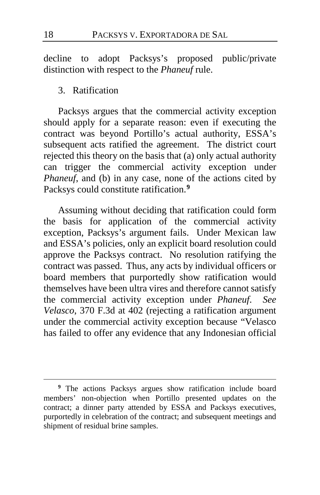decline to adopt Packsys's proposed public/private distinction with respect to the *Phaneuf* rule.

## 3. Ratification

Packsys argues that the commercial activity exception should apply for a separate reason: even if executing the contract was beyond Portillo's actual authority, ESSA's subsequent acts ratified the agreement. The district court rejected this theory on the basis that (a) only actual authority can trigger the commercial activity exception under *Phaneuf*, and (b) in any case, none of the actions cited by Packsys could constitute ratification.**[9](#page-17-0)**

Assuming without deciding that ratification could form the basis for application of the commercial activity exception, Packsys's argument fails. Under Mexican law and ESSA's policies, only an explicit board resolution could approve the Packsys contract. No resolution ratifying the contract was passed. Thus, any acts by individual officers or board members that purportedly show ratification would themselves have been ultra vires and therefore cannot satisfy the commercial activity exception under *Phaneuf*. *See Velasco*, 370 F.3d at 402 (rejecting a ratification argument under the commercial activity exception because "Velasco has failed to offer any evidence that any Indonesian official

<span id="page-17-0"></span>**<sup>9</sup>** The actions Packsys argues show ratification include board members' non-objection when Portillo presented updates on the contract; a dinner party attended by ESSA and Packsys executives, purportedly in celebration of the contract; and subsequent meetings and shipment of residual brine samples.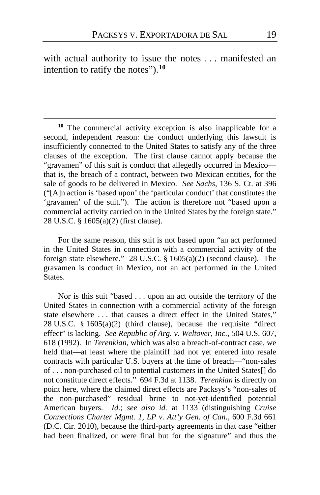with actual authority to issue the notes . . . manifested an intention to ratify the notes").**[10](#page-18-0)**

 $\overline{a}$ 

<span id="page-18-0"></span>**<sup>10</sup>** The commercial activity exception is also inapplicable for a second, independent reason: the conduct underlying this lawsuit is insufficiently connected to the United States to satisfy any of the three clauses of the exception. The first clause cannot apply because the "gravamen" of this suit is conduct that allegedly occurred in Mexico that is, the breach of a contract, between two Mexican entities, for the sale of goods to be delivered in Mexico. *See Sachs*, 136 S. Ct. at 396 ("[A]n action is 'based upon' the 'particular conduct' that constitutes the 'gravamen' of the suit."). The action is therefore not "based upon a commercial activity carried on in the United States by the foreign state." 28 U.S.C. § 1605(a)(2) (first clause).

For the same reason, this suit is not based upon "an act performed in the United States in connection with a commercial activity of the foreign state elsewhere." 28 U.S.C. § 1605(a)(2) (second clause). The gravamen is conduct in Mexico, not an act performed in the United States.

Nor is this suit "based . . . upon an act outside the territory of the United States in connection with a commercial activity of the foreign state elsewhere . . . that causes a direct effect in the United States," 28 U.S.C. § 1605(a)(2) (third clause), because the requisite "direct effect" is lacking. *See Republic of Arg. v. Weltover, Inc.*, 504 U.S. 607, 618 (1992). In *Terenkian*, which was also a breach-of-contract case, we held that—at least where the plaintiff had not yet entered into resale contracts with particular U.S. buyers at the time of breach—"non-sales of . . . non-purchased oil to potential customers in the United States[] do not constitute direct effects." 694 F.3d at 1138. *Terenkian* is directly on point here, where the claimed direct effects are Packsys's "non-sales of the non-purchased" residual brine to not-yet-identified potential American buyers. *Id.*; *see also id.* at 1133 (distinguishing *Cruise Connections Charter Mgmt. 1, LP v. Att'y Gen. of Can.*, 600 F.3d 661 (D.C. Cir. 2010), because the third-party agreements in that case "either had been finalized, or were final but for the signature" and thus the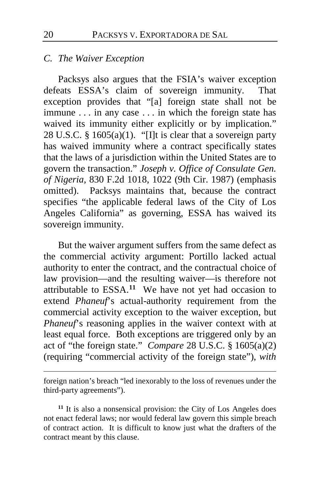## *C. The Waiver Exception*

Packsys also argues that the FSIA's waiver exception defeats ESSA's claim of sovereign immunity. That exception provides that "[a] foreign state shall not be immune . . . in any case . . . in which the foreign state has waived its immunity either explicitly or by implication." 28 U.S.C. § 1605(a)(1). "[I]t is clear that a sovereign party has waived immunity where a contract specifically states that the laws of a jurisdiction within the United States are to govern the transaction." *Joseph v. Office of Consulate Gen. of Nigeria*, 830 F.2d 1018, 1022 (9th Cir. 1987) (emphasis omitted). Packsys maintains that, because the contract specifies "the applicable federal laws of the City of Los Angeles California" as governing, ESSA has waived its sovereign immunity.

But the waiver argument suffers from the same defect as the commercial activity argument: Portillo lacked actual authority to enter the contract, and the contractual choice of law provision—and the resulting waiver—is therefore not attributable to ESSA.**[11](#page-19-0)** We have not yet had occasion to extend *Phaneuf*'s actual-authority requirement from the commercial activity exception to the waiver exception, but *Phaneuf*'s reasoning applies in the waiver context with at least equal force. Both exceptions are triggered only by an act of "the foreign state." *Compare* 28 U.S.C. § 1605(a)(2) (requiring "commercial activity of the foreign state"), *with*

foreign nation's breach "led inexorably to the loss of revenues under the third-party agreements").

<span id="page-19-0"></span>**<sup>11</sup>** It is also a nonsensical provision: the City of Los Angeles does not enact federal laws; nor would federal law govern this simple breach of contract action. It is difficult to know just what the drafters of the contract meant by this clause.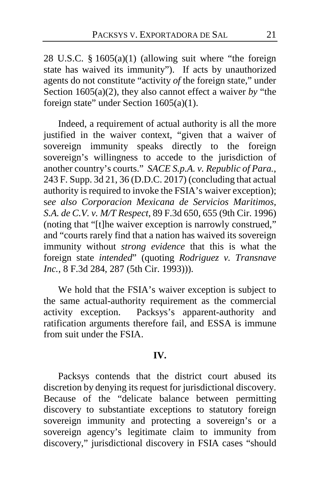28 U.S.C. § 1605(a)(1) (allowing suit where "the foreign state has waived its immunity"). If acts by unauthorized agents do not constitute "activity *of* the foreign state," under Section 1605(a)(2), they also cannot effect a waiver *by* "the foreign state" under Section 1605(a)(1).

Indeed, a requirement of actual authority is all the more justified in the waiver context, "given that a waiver of sovereign immunity speaks directly to the foreign sovereign's willingness to accede to the jurisdiction of another country's courts." *SACE S.p.A. v. Republic of Para.*, 243 F. Supp. 3d 21, 36 (D.D.C. 2017) (concluding that actual authority is required to invoke the FSIA's waiver exception); s*ee also Corporacion Mexicana de Servicios Maritimos, S.A. de C.V. v. M/T Respect*, 89 F.3d 650, 655 (9th Cir. 1996) (noting that "[t]he waiver exception is narrowly construed," and "courts rarely find that a nation has waived its sovereign immunity without *strong evidence* that this is what the foreign state *intended*" (quoting *Rodriguez v. Transnave Inc.*, 8 F.3d 284, 287 (5th Cir. 1993)).

We hold that the FSIA's waiver exception is subject to the same actual-authority requirement as the commercial activity exception. Packsys's apparent-authority and ratification arguments therefore fail, and ESSA is immune from suit under the FSIA.

## **IV.**

Packsys contends that the district court abused its discretion by denying its request for jurisdictional discovery. Because of the "delicate balance between permitting discovery to substantiate exceptions to statutory foreign sovereign immunity and protecting a sovereign's or a sovereign agency's legitimate claim to immunity from discovery," jurisdictional discovery in FSIA cases "should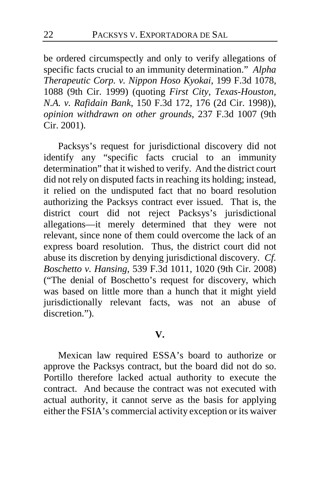be ordered circumspectly and only to verify allegations of specific facts crucial to an immunity determination." *Alpha Therapeutic Corp. v. Nippon Hoso Kyokai*, 199 F.3d 1078, 1088 (9th Cir. 1999) (quoting *First City, Texas-Houston, N.A. v. Rafidain Bank*, 150 F.3d 172, 176 (2d Cir. 1998)), *opinion withdrawn on other grounds*, 237 F.3d 1007 (9th Cir. 2001).

Packsys's request for jurisdictional discovery did not identify any "specific facts crucial to an immunity determination" that it wished to verify. And the district court did not rely on disputed facts in reaching its holding; instead, it relied on the undisputed fact that no board resolution authorizing the Packsys contract ever issued. That is, the district court did not reject Packsys's jurisdictional allegations—it merely determined that they were not relevant, since none of them could overcome the lack of an express board resolution. Thus, the district court did not abuse its discretion by denying jurisdictional discovery. *Cf. Boschetto v. Hansing*, 539 F.3d 1011, 1020 (9th Cir. 2008) ("The denial of Boschetto's request for discovery, which was based on little more than a hunch that it might yield jurisdictionally relevant facts, was not an abuse of discretion.").

## **V.**

Mexican law required ESSA's board to authorize or approve the Packsys contract, but the board did not do so. Portillo therefore lacked actual authority to execute the contract. And because the contract was not executed with actual authority, it cannot serve as the basis for applying either the FSIA's commercial activity exception or its waiver